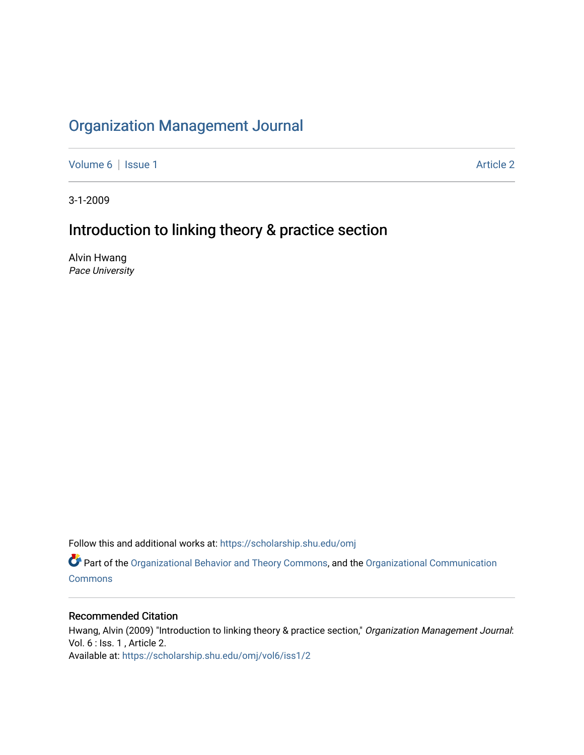## [Organization Management Journal](https://scholarship.shu.edu/omj)

[Volume 6](https://scholarship.shu.edu/omj/vol6) | [Issue 1](https://scholarship.shu.edu/omj/vol6/iss1) Article 2

3-1-2009

## Introduction to linking theory & practice section

Alvin Hwang Pace University

Follow this and additional works at: [https://scholarship.shu.edu/omj](https://scholarship.shu.edu/omj?utm_source=scholarship.shu.edu%2Fomj%2Fvol6%2Fiss1%2F2&utm_medium=PDF&utm_campaign=PDFCoverPages) 

Part of the [Organizational Behavior and Theory Commons,](http://network.bepress.com/hgg/discipline/639?utm_source=scholarship.shu.edu%2Fomj%2Fvol6%2Fiss1%2F2&utm_medium=PDF&utm_campaign=PDFCoverPages) and the [Organizational Communication](http://network.bepress.com/hgg/discipline/335?utm_source=scholarship.shu.edu%2Fomj%2Fvol6%2Fiss1%2F2&utm_medium=PDF&utm_campaign=PDFCoverPages) **[Commons](http://network.bepress.com/hgg/discipline/335?utm_source=scholarship.shu.edu%2Fomj%2Fvol6%2Fiss1%2F2&utm_medium=PDF&utm_campaign=PDFCoverPages)** 

### Recommended Citation

Hwang, Alvin (2009) "Introduction to linking theory & practice section," Organization Management Journal: Vol. 6 : Iss. 1 , Article 2. Available at: [https://scholarship.shu.edu/omj/vol6/iss1/2](https://scholarship.shu.edu/omj/vol6/iss1/2?utm_source=scholarship.shu.edu%2Fomj%2Fvol6%2Fiss1%2F2&utm_medium=PDF&utm_campaign=PDFCoverPages)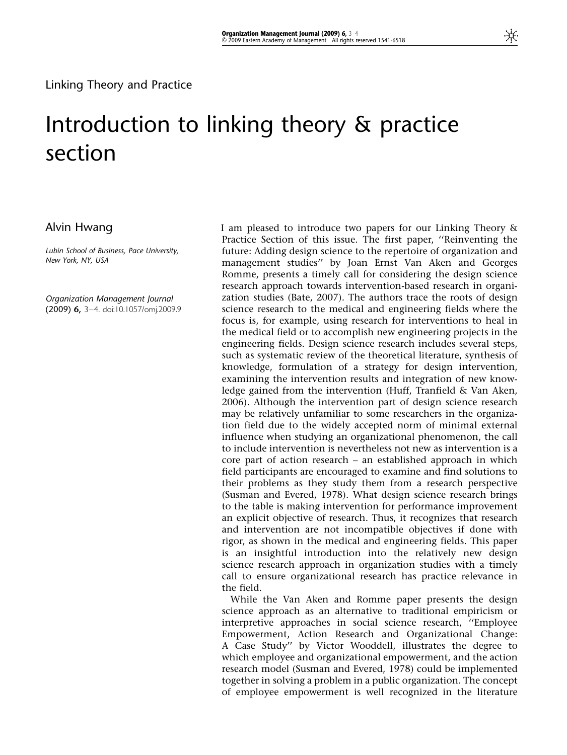# Introduction to linking theory & practice section

### Alvin Hwang

Lubin School of Business, Pace University, New York, NY, USA

Organization Management Journal (2009) 6, 3–4. doi:10.1057/omj.2009.9 I am pleased to introduce two papers for our Linking Theory & Practice Section of this issue. The first paper, ''Reinventing the future: Adding design science to the repertoire of organization and management studies'' by Joan Ernst Van Aken and Georges Romme, presents a timely call for considering the design science research approach towards intervention-based research in organization studies (Bate, 2007). The authors trace the roots of design science research to the medical and engineering fields where the focus is, for example, using research for interventions to heal in the medical field or to accomplish new engineering projects in the engineering fields. Design science research includes several steps, such as systematic review of the theoretical literature, synthesis of knowledge, formulation of a strategy for design intervention, examining the intervention results and integration of new knowledge gained from the intervention (Huff, Tranfield & Van Aken, 2006). Although the intervention part of design science research may be relatively unfamiliar to some researchers in the organization field due to the widely accepted norm of minimal external influence when studying an organizational phenomenon, the call to include intervention is nevertheless not new as intervention is a core part of action research – an established approach in which field participants are encouraged to examine and find solutions to their problems as they study them from a research perspective (Susman and Evered, 1978). What design science research brings to the table is making intervention for performance improvement an explicit objective of research. Thus, it recognizes that research and intervention are not incompatible objectives if done with rigor, as shown in the medical and engineering fields. This paper is an insightful introduction into the relatively new design science research approach in organization studies with a timely call to ensure organizational research has practice relevance in the field.

While the Van Aken and Romme paper presents the design science approach as an alternative to traditional empiricism or interpretive approaches in social science research, ''Employee Empowerment, Action Research and Organizational Change: A Case Study'' by Victor Wooddell, illustrates the degree to which employee and organizational empowerment, and the action research model (Susman and Evered, 1978) could be implemented together in solving a problem in a public organization. The concept of employee empowerment is well recognized in the literature